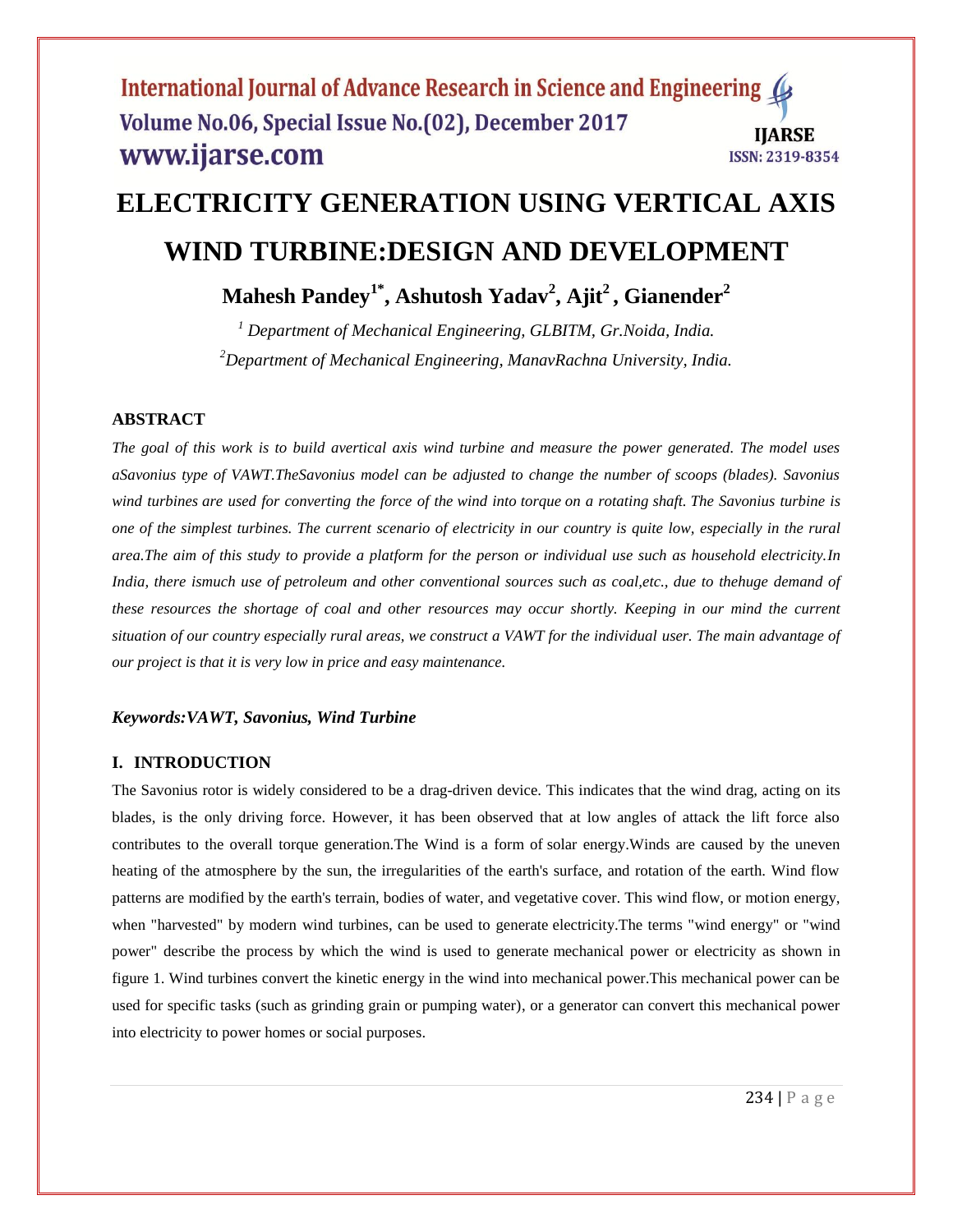# **ELECTRICITY GENERATION USING VERTICAL AXIS WIND TURBINE:DESIGN AND DEVELOPMENT**

**Mahesh Pandey1\* , Ashutosh Yadav<sup>2</sup> , Ajit<sup>2</sup> , Gianender<sup>2</sup>**

*<sup>1</sup> Department of Mechanical Engineering, GLBITM, Gr.Noida, India. <sup>2</sup>Department of Mechanical Engineering, ManavRachna University, India.*

# **ABSTRACT**

*The goal of this work is to build avertical axis wind turbine and measure the power generated. The model uses aSavonius type of VAWT.TheSavonius model can be adjusted to change the number of scoops (blades). Savonius wind turbines are used for converting the force of the wind into torque on a rotating shaft. The Savonius turbine is one of the simplest turbines. The current scenario of electricity in our country is quite low, especially in the rural area.The aim of this study to provide a platform for the person or individual use such as household electricity.In India, there ismuch use of petroleum and other conventional sources such as coal,etc., due to thehuge demand of these resources the shortage of coal and other resources may occur shortly. Keeping in our mind the current situation of our country especially rural areas, we construct a VAWT for the individual user. The main advantage of our project is that it is very low in price and easy maintenance.*

## *Keywords:VAWT, Savonius, Wind Turbine*

# **I. INTRODUCTION**

The Savonius rotor is widely considered to be a drag-driven device. This indicates that the wind drag, acting on its blades, is the only driving force. However, it has been observed that at low angles of attack the lift force also contributes to the overall torque generation.The Wind is a form of solar energy.Winds are caused by the uneven heating of the atmosphere by the sun, the irregularities of the earth's surface, and rotation of the earth. Wind flow patterns are modified by the earth's terrain, bodies of water, and vegetative cover. This wind flow, or motion energy, when "harvested" by modern wind turbines, can be used to generate electricity.The terms "wind energy" or "wind power" describe the process by which the wind is used to generate mechanical power or electricity as shown in figure 1. Wind turbines convert the kinetic energy in the wind into mechanical power.This mechanical power can be used for specific tasks (such as grinding grain or pumping water), or a generator can convert this mechanical power into electricity to power homes or social purposes.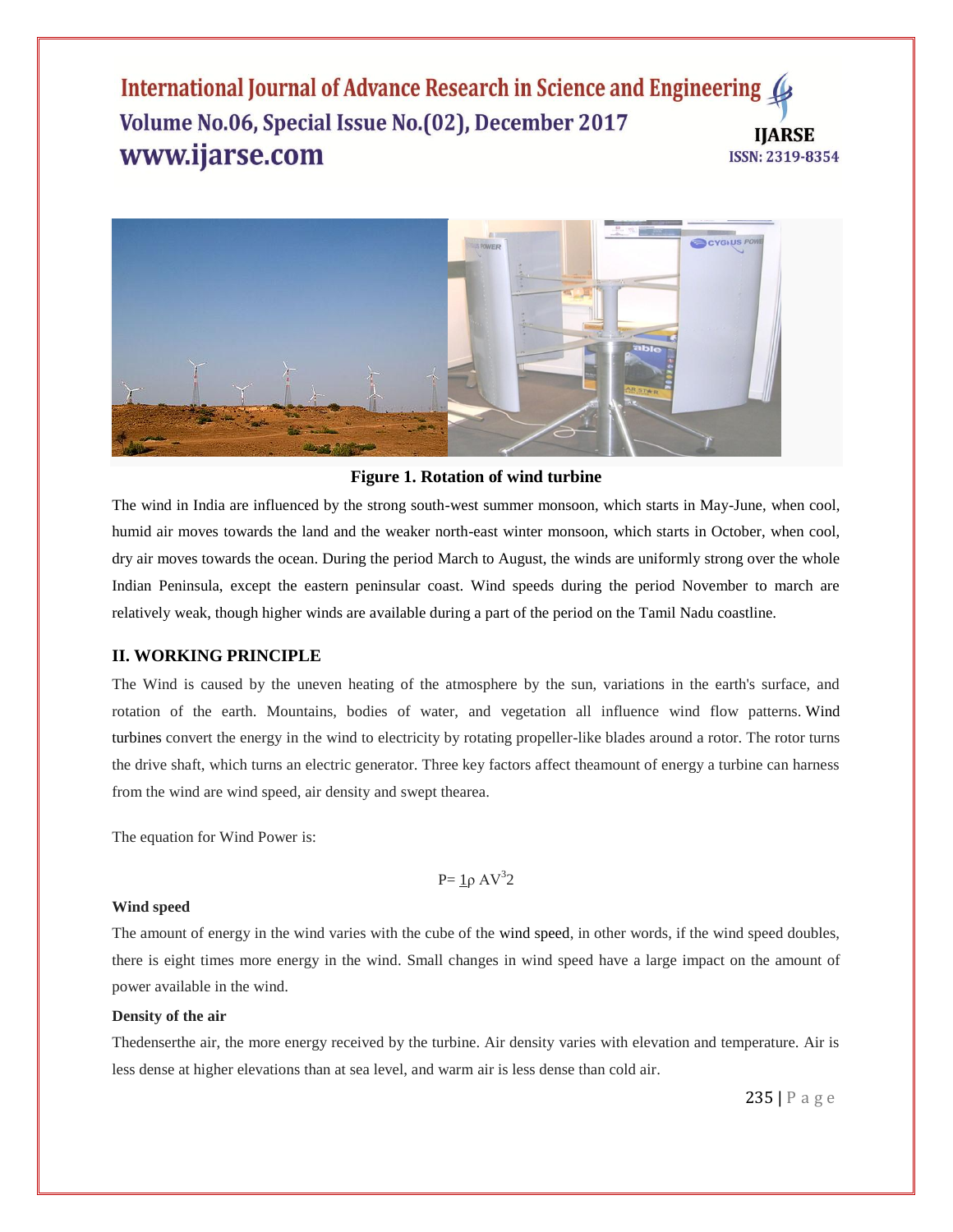

#### **Figure 1. Rotation of wind turbine**

The wind in India are influenced by the strong south-west summer monsoon, which starts in May-June, when cool, humid air moves towards the land and the weaker north-east winter monsoon, which starts in October, when cool, dry air moves towards the ocean. During the period March to August, the winds are uniformly strong over the whole Indian Peninsula, except the eastern peninsular coast. Wind speeds during the period November to march are relatively weak, though higher winds are available during a part of the period on the Tamil Nadu coastline.

### **II. WORKING PRINCIPLE**

The Wind is caused by the uneven heating of the atmosphere by the sun, variations in the earth's surface, and rotation of the earth. Mountains, bodies of water, and vegetation all influence wind flow patterns. Wind turbines convert the energy in the wind to electricity by rotating propeller-like blades around a rotor. The rotor turns the drive shaft, which turns an electric generator. Three key factors affect theamount of energy a turbine can harness from the wind are wind speed, air density and swept thearea.

The equation for Wind Power is:

P=  $1\rho$  AV<sup>3</sup>2

#### **Wind speed**

The amount of energy in the wind varies with the cube of the wind speed, in other words, if the wind speed doubles, there is eight times more energy in the wind. Small changes in wind speed have a large impact on the amount of power available in the wind.

#### **Density of the air**

Thedenserthe air, the more energy received by the turbine. Air density varies with elevation and temperature. Air is less dense at higher elevations than at sea level, and warm air is less dense than cold air.

235 | P a g e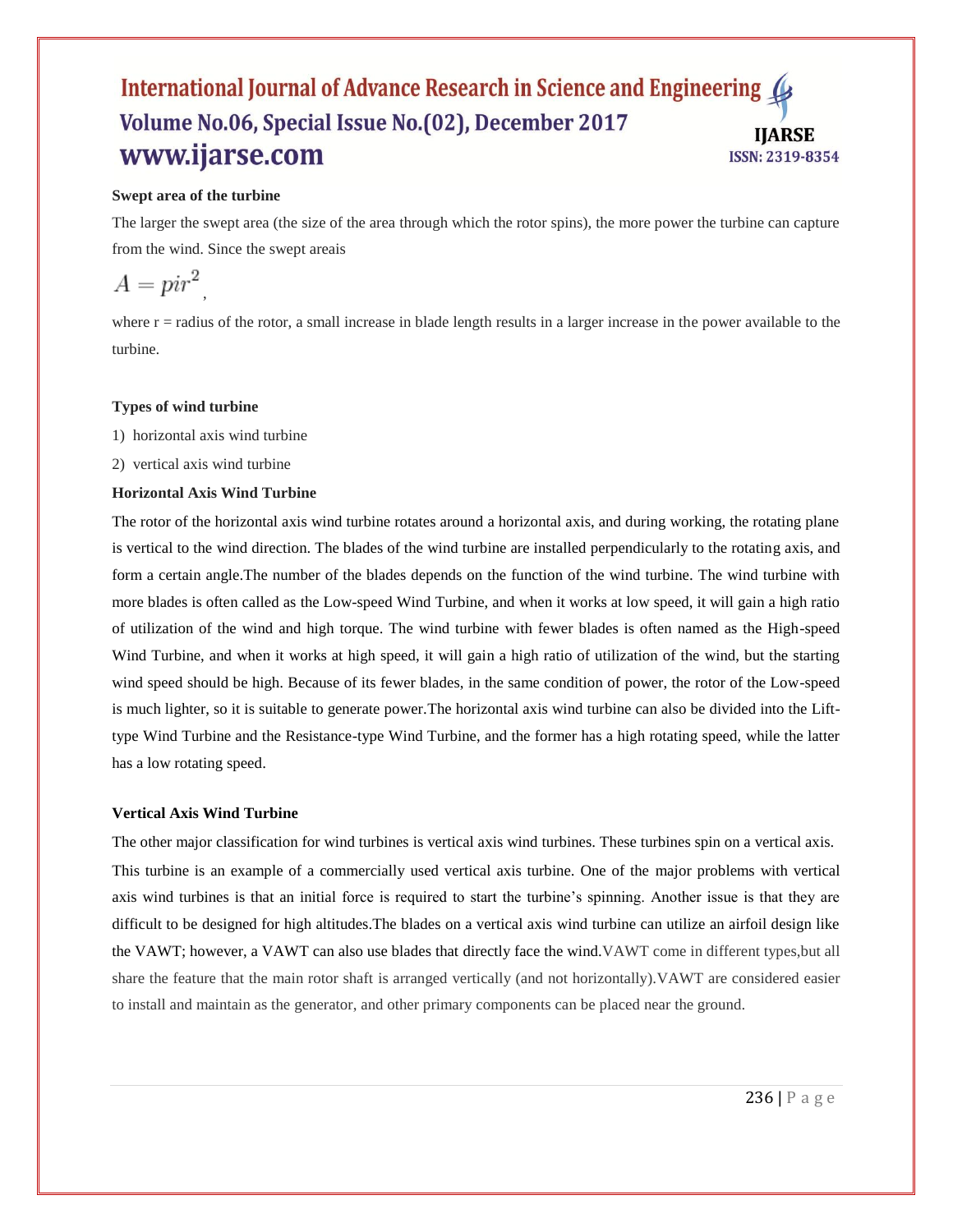## **Swept area of the turbine**

The larger the swept area (the size of the area through which the rotor spins), the more power the turbine can capture from the wind. Since the swept areais

$$
A = pir^2
$$

where  $r =$  radius of the rotor, a small increase in blade length results in a larger increase in the power available to the turbine.

## **Types of wind turbine**

- 1) horizontal axis wind turbine
- 2) vertical axis wind turbine

## **Horizontal Axis Wind Turbine**

The rotor of the horizontal axis wind turbine rotates around a horizontal axis, and during working, the rotating plane is vertical to the wind direction. The blades of the wind turbine are installed perpendicularly to the rotating axis, and form a certain angle.The number of the blades depends on the function of the wind turbine. The wind turbine with more blades is often called as the Low-speed Wind Turbine, and when it works at low speed, it will gain a high ratio of utilization of the wind and high torque. The wind turbine with fewer blades is often named as the High-speed Wind Turbine, and when it works at high speed, it will gain a high ratio of utilization of the wind, but the starting wind speed should be high. Because of its fewer blades, in the same condition of power, the rotor of the Low-speed is much lighter, so it is suitable to generate power.The horizontal axis wind turbine can also be divided into the Lifttype Wind Turbine and the Resistance-type Wind Turbine, and the former has a high rotating speed, while the latter has a low rotating speed.

#### **Vertical Axis Wind Turbine**

The other major classification for wind turbines is vertical axis wind turbines. These turbines spin on a vertical axis. This turbine is an example of a commercially used vertical axis turbine. One of the major problems with vertical axis wind turbines is that an initial force is required to start the turbine"s spinning. Another issue is that they are difficult to be designed for high altitudes.The blades on a vertical axis wind turbine can utilize an airfoil design like the VAWT; however, a VAWT can also use blades that directly face the wind.VAWT come in different types,but all share the feature that the main rotor shaft is arranged vertically (and not horizontally).VAWT are considered easier to install and maintain as the generator, and other primary components can be placed near the ground.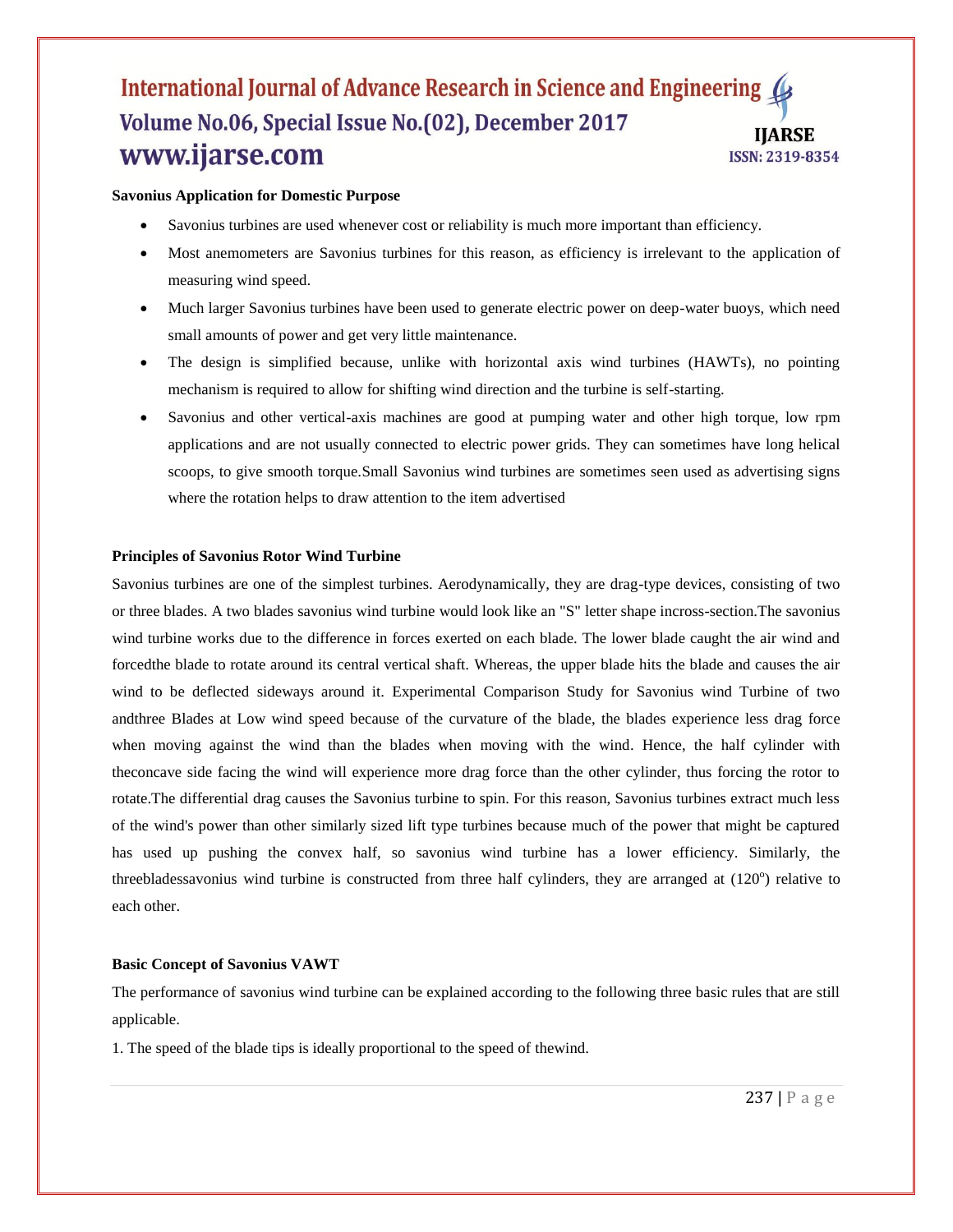## **Savonius Application for Domestic Purpose**

- Savonius turbines are used whenever cost or reliability is much more important than efficiency.
- Most anemometers are Savonius turbines for this reason, as efficiency is irrelevant to the application of measuring wind speed.
- Much larger Savonius turbines have been used to generate electric power on deep-water buoys, which need small amounts of power and get very little maintenance.
- The design is simplified because, unlike with horizontal axis wind turbines (HAWTs), no pointing mechanism is required to allow for shifting wind direction and the turbine is self-starting.
- Savonius and other vertical-axis machines are good at pumping water and other high torque, low rpm applications and are not usually connected to electric power grids. They can sometimes have long helical scoops, to give smooth torque.Small Savonius wind turbines are sometimes seen used as advertising signs where the rotation helps to draw attention to the item advertised

## **Principles of Savonius Rotor Wind Turbine**

Savonius turbines are one of the simplest turbines. Aerodynamically, they are drag-type devices, consisting of two or three blades. A two blades savonius wind turbine would look like an "S" letter shape incross-section.The savonius wind turbine works due to the difference in forces exerted on each blade. The lower blade caught the air wind and forcedthe blade to rotate around its central vertical shaft. Whereas, the upper blade hits the blade and causes the air wind to be deflected sideways around it. Experimental Comparison Study for Savonius wind Turbine of two andthree Blades at Low wind speed because of the curvature of the blade, the blades experience less drag force when moving against the wind than the blades when moving with the wind. Hence, the half cylinder with theconcave side facing the wind will experience more drag force than the other cylinder, thus forcing the rotor to rotate.The differential drag causes the Savonius turbine to spin. For this reason, Savonius turbines extract much less of the wind's power than other similarly sized lift type turbines because much of the power that might be captured has used up pushing the convex half, so savonius wind turbine has a lower efficiency. Similarly, the threebladessavonius wind turbine is constructed from three half cylinders, they are arranged at  $(120^{\circ})$  relative to each other.

#### **Basic Concept of Savonius VAWT**

The performance of savonius wind turbine can be explained according to the following three basic rules that are still applicable.

1. The speed of the blade tips is ideally proportional to the speed of thewind.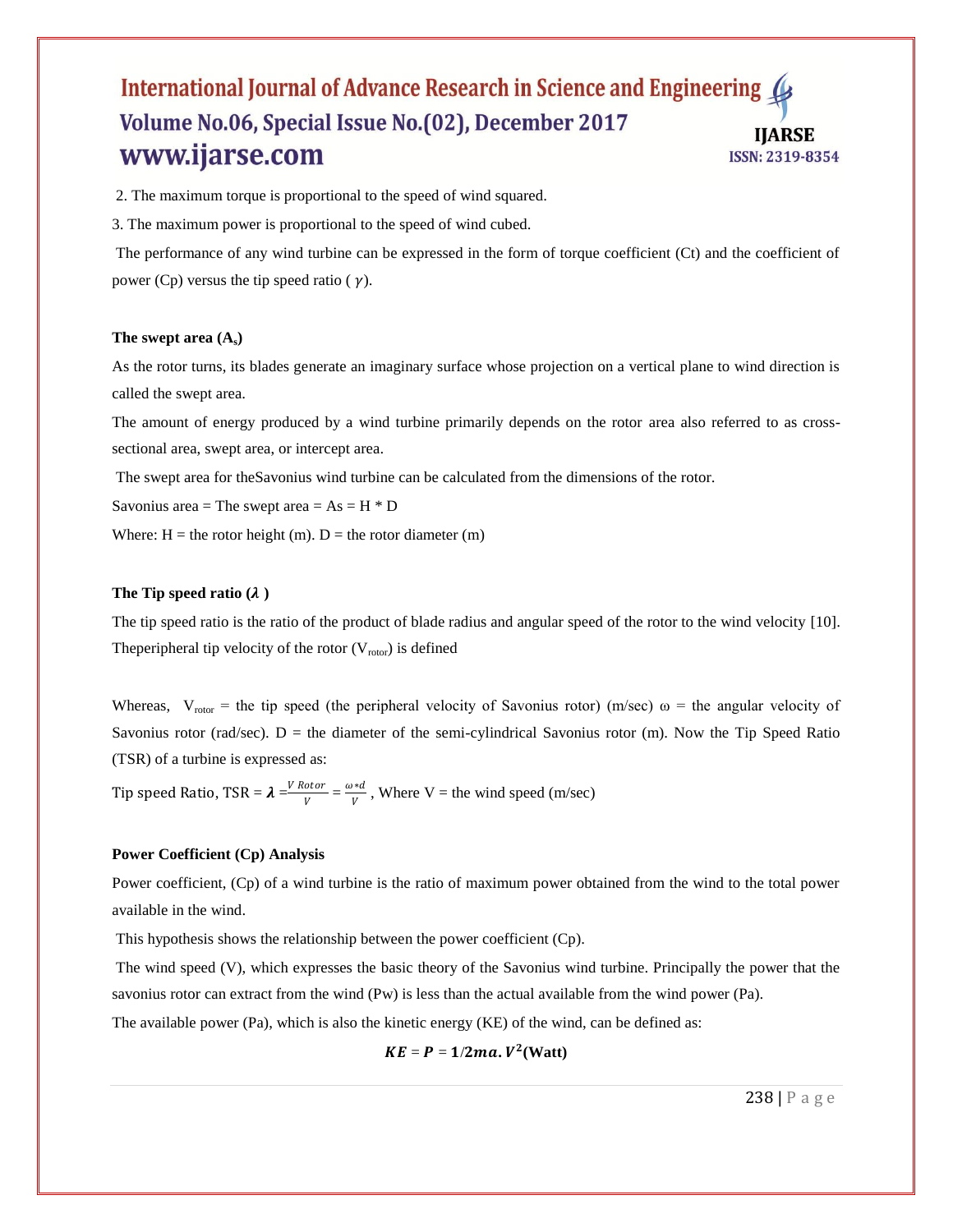2. The maximum torque is proportional to the speed of wind squared.

3. The maximum power is proportional to the speed of wind cubed.

The performance of any wind turbine can be expressed in the form of torque coefficient (Ct) and the coefficient of power (Cp) versus the tip speed ratio ( $\gamma$ ).

#### **The swept area (As)**

As the rotor turns, its blades generate an imaginary surface whose projection on a vertical plane to wind direction is called the swept area.

The amount of energy produced by a wind turbine primarily depends on the rotor area also referred to as crosssectional area, swept area, or intercept area.

The swept area for theSavonius wind turbine can be calculated from the dimensions of the rotor.

Savonius area = The swept area =  $As = H * D$ 

Where:  $H =$  the rotor height (m).  $D =$  the rotor diameter (m)

#### The Tip speed ratio  $(\lambda)$

The tip speed ratio is the ratio of the product of blade radius and angular speed of the rotor to the wind velocity [10]. The peripheral tip velocity of the rotor  $(V_{\text{rotor}})$  is defined

Whereas,  $V_{\text{rotor}}$  = the tip speed (the peripheral velocity of Savonius rotor) (m/sec)  $\omega$  = the angular velocity of Savonius rotor (rad/sec).  $D =$  the diameter of the semi-cylindrical Savonius rotor (m). Now the Tip Speed Ratio (TSR) of a turbine is expressed as:

Tip speed Ratio, TSR =  $\lambda = \frac{V Rotor}{V}$  $\frac{otor}{V} = \frac{\omega * d}{V}$  $\frac{u}{v}$ , Where V = the wind speed (m/sec)

## **Power Coefficient (Cp) Analysis**

Power coefficient, (Cp) of a wind turbine is the ratio of maximum power obtained from the wind to the total power available in the wind.

This hypothesis shows the relationship between the power coefficient (Cp).

The wind speed (V), which expresses the basic theory of the Savonius wind turbine. Principally the power that the savonius rotor can extract from the wind (Pw) is less than the actual available from the wind power (Pa).

The available power (Pa), which is also the kinetic energy (KE) of the wind, can be defined as:

$$
KE = P = 1/2ma. V^2(Watt)
$$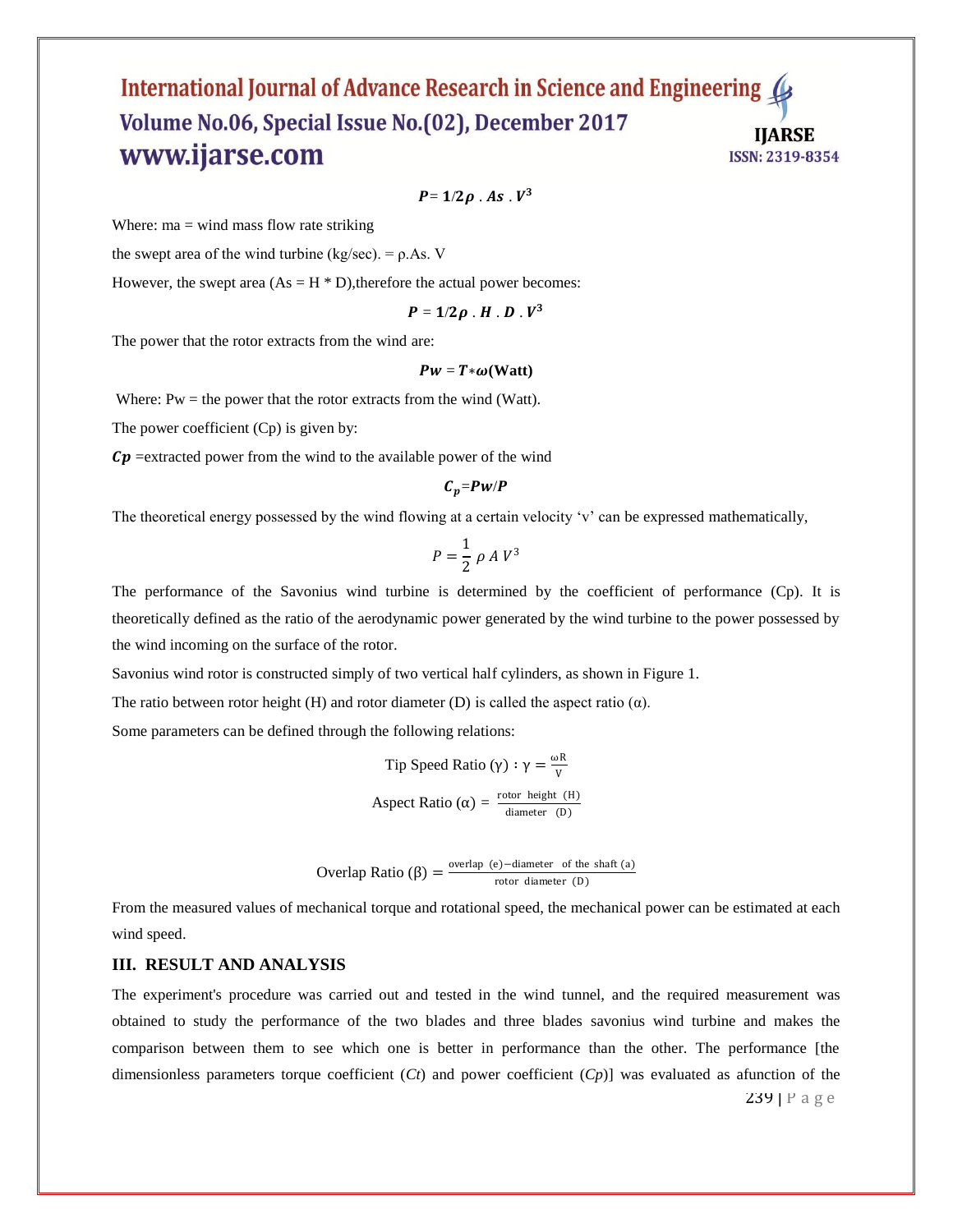$P = 1/2\rho$  . As .  $V^3$ 

Where:  $ma = wind$  mass flow rate striking

the swept area of the wind turbine (kg/sec). =  $\rho$ .As. V

However, the swept area  $(As = H * D)$ , therefore the actual power becomes:

$$
P=1/2\rho \cdot H \cdot D \cdot V^3
$$

The power that the rotor extracts from the wind are:

#### $Pw = T * \omega(Watt)$

Where:  $Pw =$  the power that the rotor extracts from the wind (Watt).

The power coefficient (Cp) is given by:

 $\mathcal{C}p$  =extracted power from the wind to the available power of the wind

$$
C_p = P \cdot P
$$

The theoretical energy possessed by the wind flowing at a certain velocity 'v' can be expressed mathematically,

$$
P = \frac{1}{2} \rho A V^3
$$

The performance of the Savonius wind turbine is determined by the coefficient of performance (Cp). It is theoretically defined as the ratio of the aerodynamic power generated by the wind turbine to the power possessed by the wind incoming on the surface of the rotor.

Savonius wind rotor is constructed simply of two vertical half cylinders, as shown in Figure 1.

The ratio between rotor height (H) and rotor diameter (D) is called the aspect ratio  $(\alpha)$ .

Some parameters can be defined through the following relations:

Tip Speed Ratio (γ) : γ = 
$$
\frac{\omega R}{V}
$$
  
Aspect Ratio (α) =  $\frac{\text{rotor height (H)}}{\text{diameter (D)}}$ 

**Overlap Ratio (β)** = 
$$
\frac{\text{overlap (e)} - \text{diameter of the shaft (a)}}{\text{rotor diameter (D)}}
$$

From the measured values of mechanical torque and rotational speed, the mechanical power can be estimated at each wind speed.

#### **III. RESULT AND ANALYSIS**

239 | P a g e The experiment's procedure was carried out and tested in the wind tunnel, and the required measurement was obtained to study the performance of the two blades and three blades savonius wind turbine and makes the comparison between them to see which one is better in performance than the other. The performance [the dimensionless parameters torque coefficient (*Ct*) and power coefficient (*Cp*)] was evaluated as afunction of the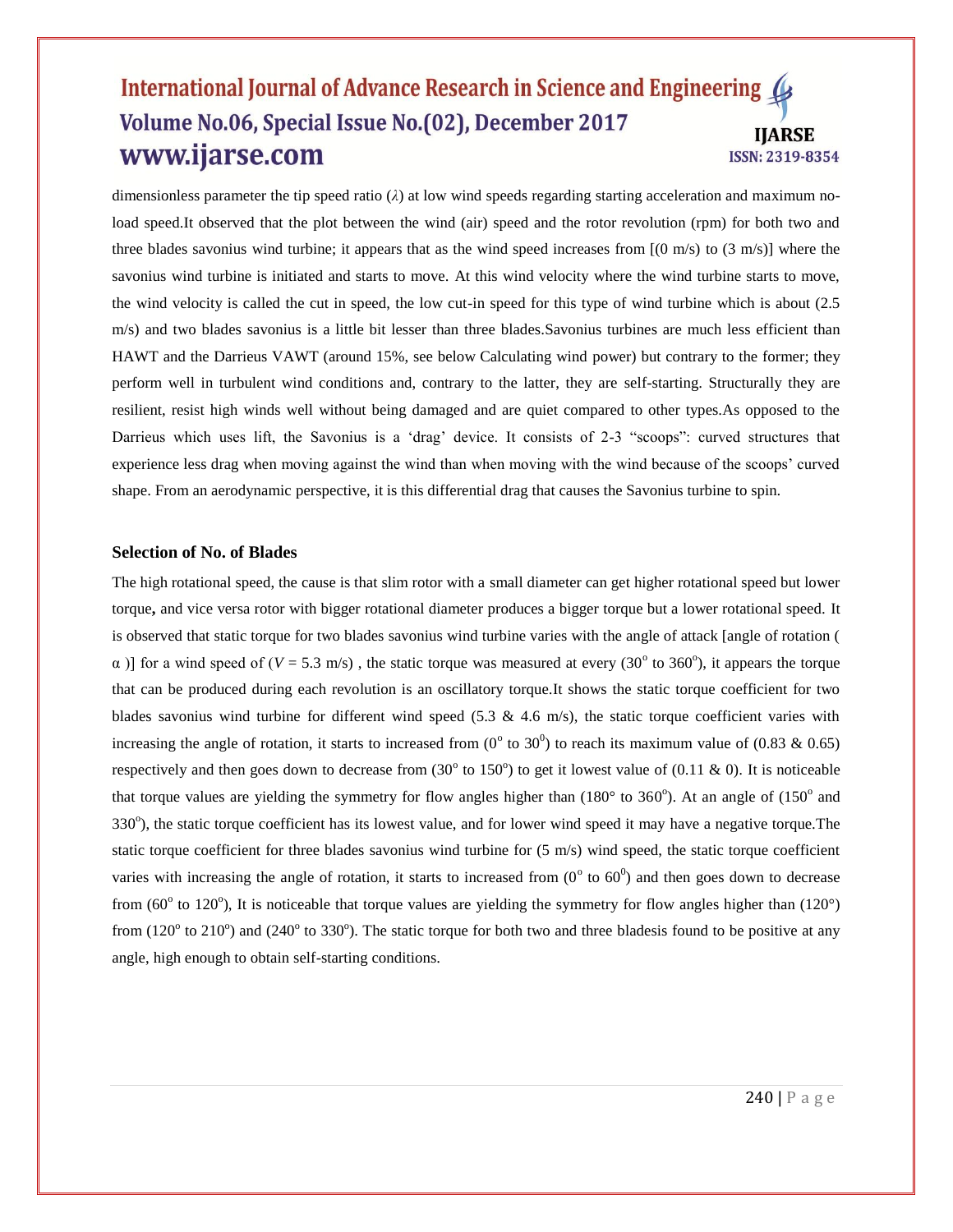dimensionless parameter the tip speed ratio (*λ*) at low wind speeds regarding starting acceleration and maximum noload speed.It observed that the plot between the wind (air) speed and the rotor revolution (rpm) for both two and three blades savonius wind turbine; it appears that as the wind speed increases from  $[(0 \text{ m/s}) \text{ to } (3 \text{ m/s})]$  where the savonius wind turbine is initiated and starts to move. At this wind velocity where the wind turbine starts to move, the wind velocity is called the cut in speed, the low cut-in speed for this type of wind turbine which is about (2.5 m/s) and two blades savonius is a little bit lesser than three blades.Savonius turbines are much less efficient than HAWT and the Darrieus VAWT (around 15%, see below Calculating wind power) but contrary to the former; they perform well in turbulent wind conditions and, contrary to the latter, they are self-starting. Structurally they are resilient, resist high winds well without being damaged and are quiet compared to other types.As opposed to the Darrieus which uses lift, the Savonius is a "drag" device. It consists of 2-3 "scoops": curved structures that experience less drag when moving against the wind than when moving with the wind because of the scoops" curved shape. From an aerodynamic perspective, it is this differential drag that causes the Savonius turbine to spin.

#### **Selection of No. of Blades**

The high rotational speed, the cause is that slim rotor with a small diameter can get higher rotational speed but lower torque**,** and vice versa rotor with bigger rotational diameter produces a bigger torque but a lower rotational speed. It is observed that static torque for two blades savonius wind turbine varies with the angle of attack [angle of rotation (  $\alpha$ )] for a wind speed of ( $V = 5.3$  m/s), the static torque was measured at every (30<sup>o</sup> to 360<sup>o</sup>), it appears the torque that can be produced during each revolution is an oscillatory torque.It shows the static torque coefficient for two blades savonius wind turbine for different wind speed (5.3  $\&$  4.6 m/s), the static torque coefficient varies with increasing the angle of rotation, it starts to increased from  $(0^{\circ}$  to 30<sup>0</sup>) to reach its maximum value of  $(0.83 \& 0.65)$ respectively and then goes down to decrease from  $(30^{\circ}$  to 150°) to get it lowest value of  $(0.11 \& 0)$ . It is noticeable that torque values are yielding the symmetry for flow angles higher than  $(180^\circ$  to  $360^\circ)$ . At an angle of  $(150^\circ$  and 330°), the static torque coefficient has its lowest value, and for lower wind speed it may have a negative torque. The static torque coefficient for three blades savonius wind turbine for (5 m/s) wind speed, the static torque coefficient varies with increasing the angle of rotation, it starts to increased from  $(0^{\circ}$  to  $60^{\circ})$  and then goes down to decrease from (60 $\degree$  to 120 $\degree$ ), It is noticeable that torque values are yielding the symmetry for flow angles higher than (120 $\degree$ ) from  $(120^{\circ}$  to  $210^{\circ})$  and  $(240^{\circ}$  to 330°). The static torque for both two and three bladesis found to be positive at any angle, high enough to obtain self-starting conditions.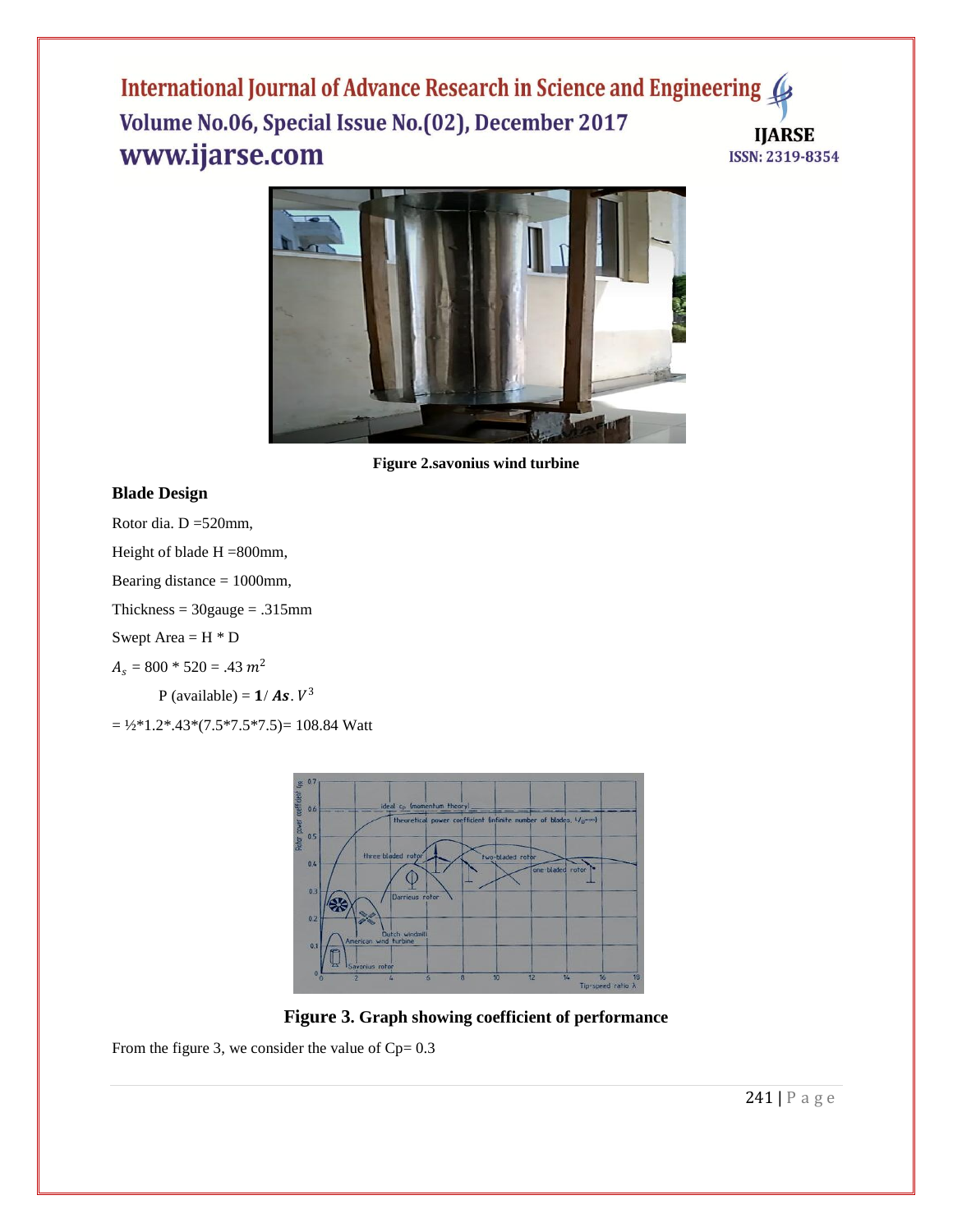

**Figure 2.savonius wind turbine**

# **Blade Design**

Rotor dia. D =520mm,

Height of blade H =800mm,

Bearing distance = 1000mm,

 $Thickness = 30 gauge = .315mm$ 

Swept Area  $=$  H $*$  D

 $A_s = 800 * 520 = .43 m^2$ 

P (available) =  $1/As. V^3$ 

 $= 1/2*1.2*.43*(7.5*7.5*7.5) = 108.84$  Watt



**Figure 3. Graph showing coefficient of performance**

From the figure 3, we consider the value of  $Cp= 0.3$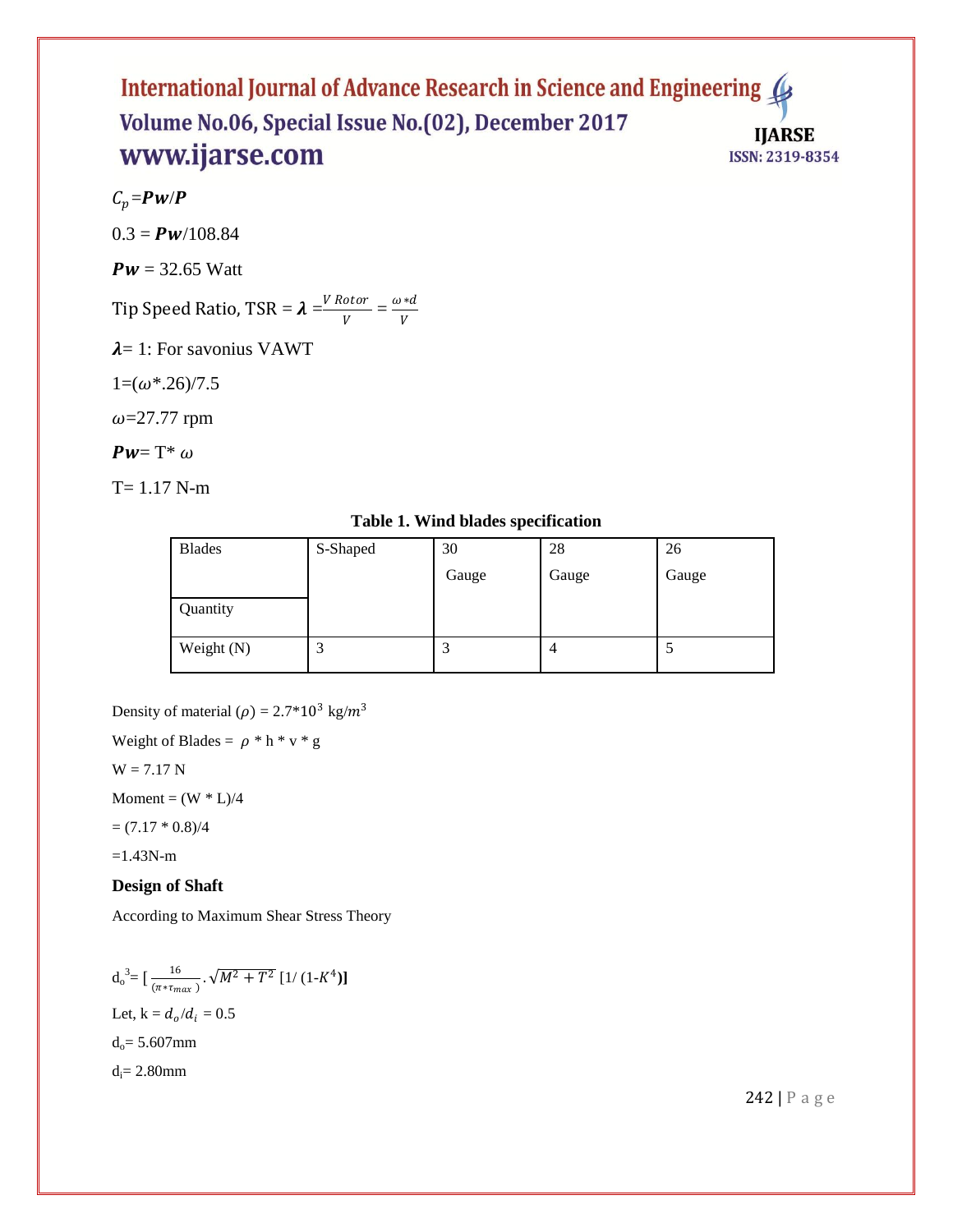$C_p = P \mathbf{W}/P$ 

 $0.3 = P w/108.84$ 

 $Pw = 32.65$  Watt

Tip Speed Ratio, TSR =  $\lambda = \frac{V \cdot R}{V}$  $\frac{otor}{V} = \frac{\omega * d}{V}$ V

 $\lambda$ = 1: For savonius VAWT

 $1=(\omega^*.26)/7.5$ 

 $\omega$ =27.77 rpm

 $Pw = T^* \omega$ 

 $T= 1.17$  N-m

**Table 1. Wind blades specification**

| <b>Blades</b> | S-Shaped | 30    | 28    | 26    |
|---------------|----------|-------|-------|-------|
|               |          | Gauge | Gauge | Gauge |
| Quantity      |          |       |       |       |
| Weight (N)    | ◠<br>لىد | C     | 4     | C     |

Density of material ( $\rho$ ) = 2.7\*10<sup>3</sup> kg/m<sup>3</sup>

Weight of Blades =  $\rho * h * v * g$ 

 $W = 7.17 N$ 

 $Moment = (W * L)/4$ 

 $= (7.17 * 0.8)/4$ 

 $=1.43N-m$ 

# **Design of Shaft**

According to Maximum Shear Stress Theory

$$
d_o^3 = \left[\frac{16}{(\pi * \tau_{max})} \cdot \sqrt{M^2 + T^2} \left[1/(1-K^4)\right]\right]
$$
  
Let, k =  $d_o/d_i = 0.5$   
 $d_o = 5.607 \text{mm}$   
 $d_i = 2.80 \text{mm}$ 

242 | P a g e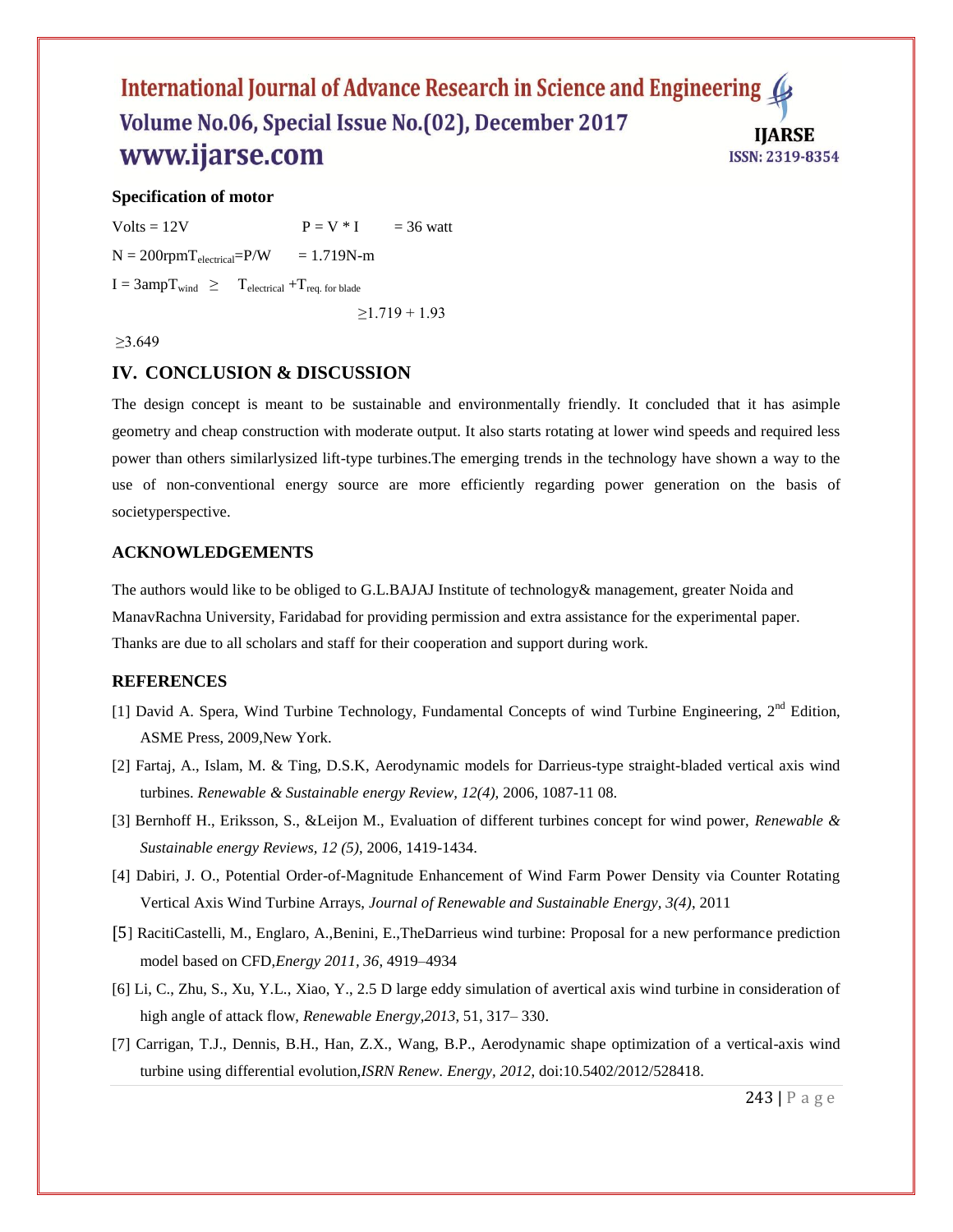## **Specification of motor**

Volts = 12V  $P = V * I = 36$  watt  $N = 200$ rpm $T_{electrical} = P/W = 1.719N$ -m  $I = 3ampT<sub>wind</sub> \geq T<sub>electrical</sub> + T<sub>req. for blade</sub>$  $\geq$ 1.719 + 1.93

≥3.649

## **IV. CONCLUSION & DISCUSSION**

The design concept is meant to be sustainable and environmentally friendly. It concluded that it has asimple geometry and cheap construction with moderate output. It also starts rotating at lower wind speeds and required less power than others similarlysized lift-type turbines.The emerging trends in the technology have shown a way to the use of non-conventional energy source are more efficiently regarding power generation on the basis of societyperspective.

## **ACKNOWLEDGEMENTS**

The authors would like to be obliged to G.L.BAJAJ Institute of technology& management, greater Noida and ManavRachna University, Faridabad for providing permission and extra assistance for the experimental paper. Thanks are due to all scholars and staff for their cooperation and support during work.

#### **REFERENCES**

- [1] David A. Spera, Wind Turbine Technology, Fundamental Concepts of wind Turbine Engineering, 2<sup>nd</sup> Edition, ASME Press, 2009,New York.
- [2] Fartaj, A., Islam, M. & Ting, D.S.K, Aerodynamic models for Darrieus-type straight-bladed vertical axis wind turbines. *Renewable & Sustainable energy Review, 12(4),* 2006, 1087-11 08.
- [3] Bernhoff H., Eriksson, S., &Leijon M., Evaluation of different turbines concept for wind power, *Renewable & Sustainable energy Reviews, 12 (5)*, 2006, 1419-1434.
- [4] Dabiri, J. O., Potential Order-of-Magnitude Enhancement of Wind Farm Power Density via Counter Rotating Vertical Axis Wind Turbine Arrays, *Journal of Renewable and Sustainable Energy, 3(4)*, 2011
- [5] RacitiCastelli, M., Englaro, A.,Benini, E.,TheDarrieus wind turbine: Proposal for a new performance prediction model based on CFD,*Energy 2011, 36*, 4919–4934
- [6] Li, C., Zhu, S., Xu, Y.L., Xiao, Y., 2.5 D large eddy simulation of avertical axis wind turbine in consideration of high angle of attack flow, *Renewable Energy,2013*, 51, 317– 330.
- [7] Carrigan, T.J., Dennis, B.H., Han, Z.X., Wang, B.P., Aerodynamic shape optimization of a vertical-axis wind turbine using differential evolution,*ISRN Renew. Energy, 2012*, doi:10.5402/2012/528418.

243 | P a g e